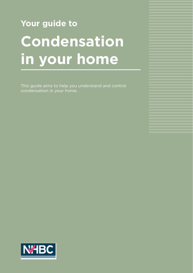# **Your guide to Condensation in your home**

This guide aims to help you understand and control condensation in your home.

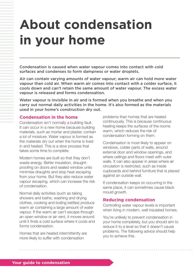## **About condensation in your home**

Condensation is caused when water vapour comes into contact with cold surfaces and condenses to form dampness or water droplets.

Air can contain varying amounts of water vapour; warm air can hold more water vapour than cold air. When warm air comes into contact with a colder surface, it cools down and can't retain the same amount of water vapour. The excess water vapour is released and forms condensation.

Water vapour is invisible in air and is formed when you breathe and when you carry out normal daily activities in the home. It's also formed as the materials used in your home's construction dry out.

#### **Condensation in the home**

Condensation isn't normally a building fault. It can occur in a new home because building materials, such as mortar and plaster, contain a lot of moisture. Water vapour is formed as the materials dry out when the home is lived in and heated. This is a slow process that takes some time to complete.

Modern homes are built so that they don't waste energy. Better insulation, draughtproofing on doors and sealed window units minimise draughts and stop heat escaping from your home. But they also reduce water vapour escaping, which can increase the risk of condensation.

Normal daily activities (such as taking showers and baths, washing and drying clothes, cooking and boiling kettles) produce warm air containing a large amount of water vapour. If the warm air can't escape through an open window or air vent, it moves around until it finds a cold surface where it cools and forms condensation.

Homes that are heated intermittently are more likely to suffer with condensation

problems than homes that are heated continuously. This is because continuous heating keeps the surfaces of the rooms warm, which reduces the risk of condensation forming on them.

Condensation is most likely to appear on windows, colder parts of walls, around external door and window openings, and where ceilings and floors meet with outer walls. It can also appear in areas where air circulation is restricted, such as inside cupboards and behind furniture that is placed against an outside wall.

If condensation keeps on occurring in the same place, it can sometimes cause black mould growth.

#### **Reducing condensation**

Controlling water vapour levels is important when living in modern, well insulated homes.

You're unlikely to prevent condensation in your home completely, but you should aim to reduce it to a level so that it doesn't cause problems. The following advice should help you to achieve this.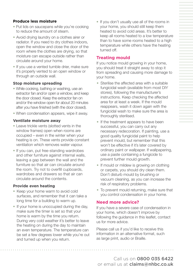#### **Produce less moisture**

- Put lids on saucepans while you're cooking to reduce the amount of steam.
- Avoid drying laundry on a clothes airer or radiator. If you need to dry clothes indoors, open the window and close the door of the room where the clothes are drying, so that moisture can escape outside rather than circulate around your home.
- If you use a vented tumble drier, make sure it's properly vented to an open window or through an outside wall.

#### **Stop moisture spreading**

- While cooking, bathing or washing, use an extractor fan and/or open a window, and keep the door closed. Keep the extractor fan on and/or the window open for about 20 minutes after you have finished (with the door closed).
- When condensation appears, wipe it away.

#### **Ventilate moisture away**

- Leave trickle vents (slotted vents in the window frames) open when rooms are occupied – even in the winter when your heating is on. These vents provide constant ventilation which removes water vapour.
- If you can, put free-standing wardrobes and other furniture against internal walls, leaving a gap between the wall and the furniture so that air can circulate around the room. Try not to overfill cupboards, wardrobes and drawers so that air can circulate around the contents.

#### **Provide even heating**

- Keep your home warm to avoid cold surfaces, and remember that it can take a long time for a building to warm up.
- If your home is unoccupied during the day, make sure the timer is set so that your home is warm by the time you return. During very cold weather it's better to leave the heating on during the day to maintain an even temperature. The temperature can be set a few degrees lower while you're out and turned up when you return.

• If you don't usually use all of the rooms in your home, you should still keep them heated to avoid cold areas. It's better to keep all rooms heated to a low temperature than to have some rooms heated to a high temperature while others have the heating turned off.

#### **Treating mould**

If you notice mould growing in your home, you should treat it straight away to stop it from spreading and causing more damage to your home.

- Sterilise the affected area with a suitable fungicidal wash (available from most DIY stores), following the manufacturer's instructions. Keep checking the affected area for at least a week. If the mould reappears, wash it down again with the fungicidal wash to make sure the area is thoroughly sterilised.
- If the treatment appears to have been successful, you can carry out any necessary redecoration. If painting, use a good quality fungicidal paint to help prevent mould, but remember that this won't be effective if it's later covered by ordinary paint or wallpaper. If wallpapering, use a paste containing a fungicide to prevent further mould growth.
- If mould or mildew is growing on clothing or carpets, you should dry clean them. Don't disturb mould by brushing or vacuum cleaning, as you can increase the risk of respiratory problems.
- To prevent mould returning, make sure that you control condensation in your home.

#### **Need more advice?**

If you have a severe case of condensation in your home, which doesn't improve by following the guidance in this leaflet, contact us for more advice.

Please call us if you'd like to receive this information in an alternative format, such as large print, audio or Braille.